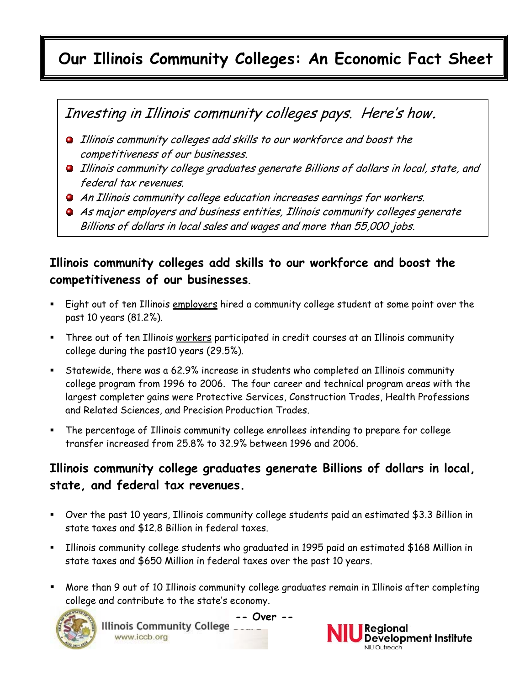# **Our Illinois Community Colleges: An Economic Fact Sheet**

## Investing in Illinois community colleges pays. Here's how**.**

- **Illinois community colleges add skills to our workforce and boost the** competitiveness of our businesses.
- **Illinois community college graduates generate Billions of dollars in local, state, and** federal tax revenues.
- An Illinois community college education increases earnings for workers.
- As major employers and business entities, Illinois community colleges generate Billions of dollars in local sales and wages and more than 55,000 jobs.

### **Illinois community colleges add skills to our workforce and boost the competitiveness of our businesses**.

- Eight out of ten Illinois employers hired a community college student at some point over the past 10 years (81.2%).
- Three out of ten Illinois workers participated in credit courses at an Illinois community college during the past10 years (29.5%).
- Statewide, there was a 62.9% increase in students who completed an Illinois community college program from 1996 to 2006. The four career and technical program areas with the largest completer gains were Protective Services, Construction Trades, Health Professions and Related Sciences, and Precision Production Trades.
- The percentage of Illinois community college enrollees intending to prepare for college transfer increased from 25.8% to 32.9% between 1996 and 2006.

#### **Illinois community college graduates generate Billions of dollars in local, state, and federal tax revenues.**

- Over the past 10 years, Illinois community college students paid an estimated \$3.3 Billion in state taxes and \$12.8 Billion in federal taxes.
- Illinois community college students who graduated in 1995 paid an estimated \$168 Million in state taxes and \$650 Million in federal taxes over the past 10 years.
- More than 9 out of 10 Illinois community college graduates remain in Illinois after completing college and contribute to the state's economy.



**-- Over -**www.iccb.org